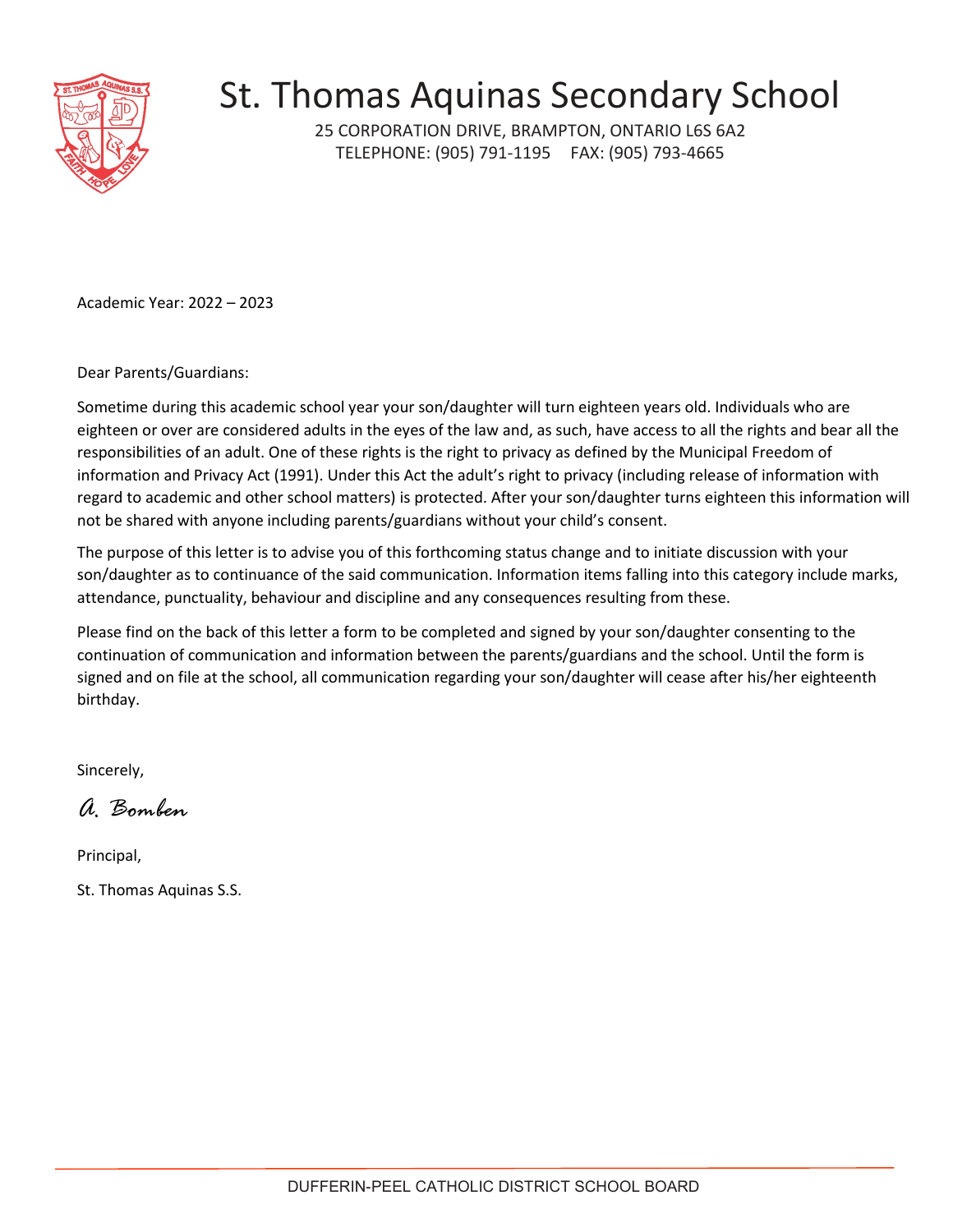

25 CORPORATION DRIVE, BRAMPTON, ONTARIO L6S 6A2 TELEPHONE: (905) 791-1195 FAX: (905) 793-4665

Academic Year: 2022 – 2023

Dear Parents/Guardians:

Sometime during this academic school year your son/daughter will turn eighteen years old. Individuals who are eighteen or over are considered adults in the eyes of the law and, as such, have access to all the rights and bear all the responsibilities of an adult. One of these rights is the right to privacy as defined by the Municipal Freedom of information and Privacy Act (1991). Under this Act the adult's right to privacy (including release of information with regard to academic and other school matters) is protected. After your son/daughter turns eighteen this information will not be shared with anyone including parents/guardians without your child's consent.

The purpose of this letter is to advise you of this forthcoming status change and to initiate discussion with your son/daughter as to continuance of the said communication. Information items falling into this category include marks, attendance, punctuality, behaviour and discipline and any consequences resulting from these.

Please find on the back of this letter a form to be completed and signed by your son/daughter consenting to the continuation of communication and information between the parents/guardians and the school. Until the form is signed and on file at the school, all communication regarding your son/daughter will cease after his/her eighteenth birthday.

Sincerely,

*A. Bomben*

Principal,

St. Thomas Aquinas S.S.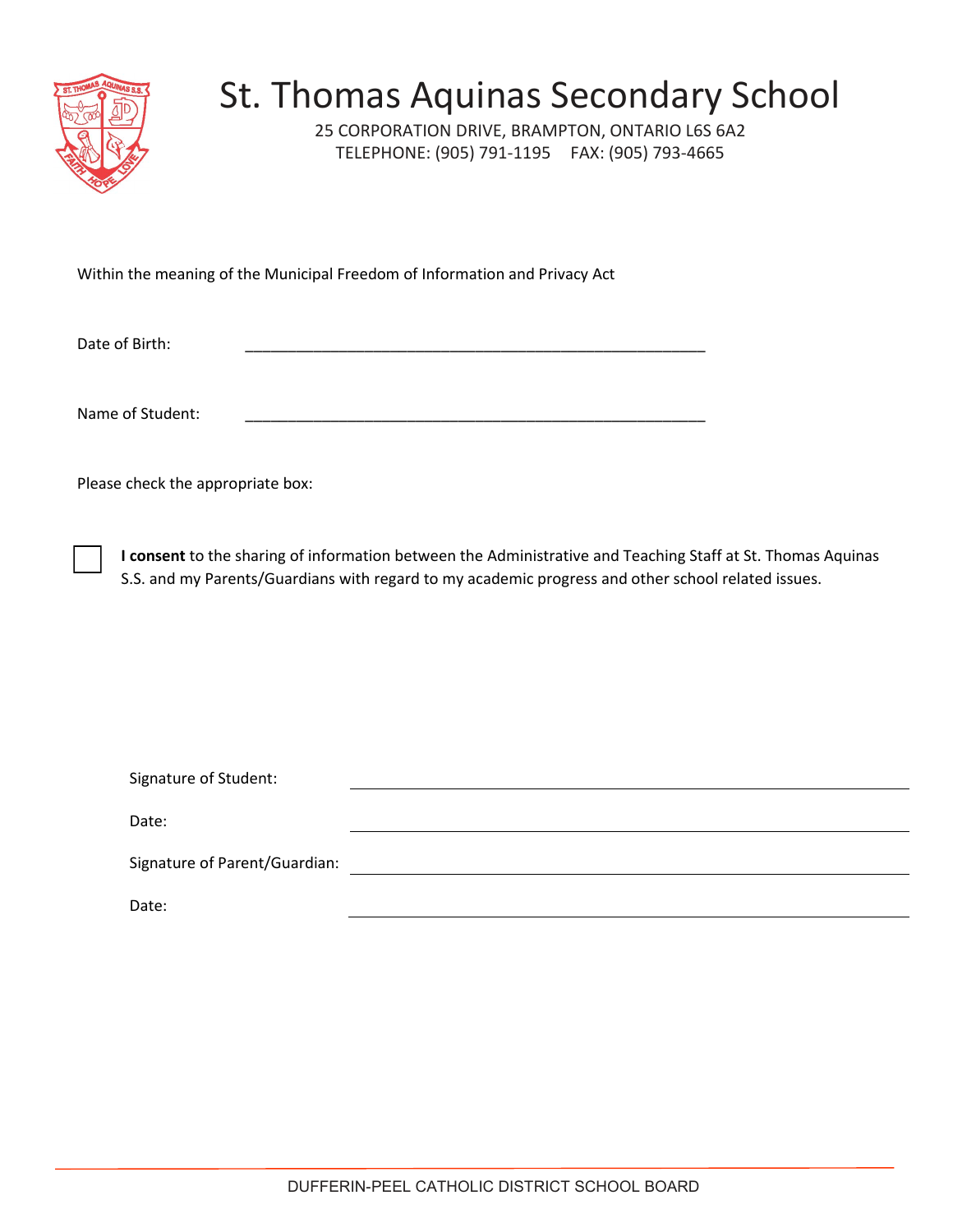

25 CORPORATION DRIVE, BRAMPTON, ONTARIO L6S 6A2 TELEPHONE: (905) 791-1195 FAX: (905) 793-4665

Within the meaning of the Municipal Freedom of Information and Privacy Act

Date of Birth:

Name of Student:

Please check the appropriate box:

☐ **I consent** to the sharing of information between the Administrative and Teaching Staff at St. Thomas Aquinas S.S. and my Parents/Guardians with regard to my academic progress and other school related issues.

| Signature of Student:         |  |
|-------------------------------|--|
|                               |  |
| Date:                         |  |
| Signature of Parent/Guardian: |  |
| Date:                         |  |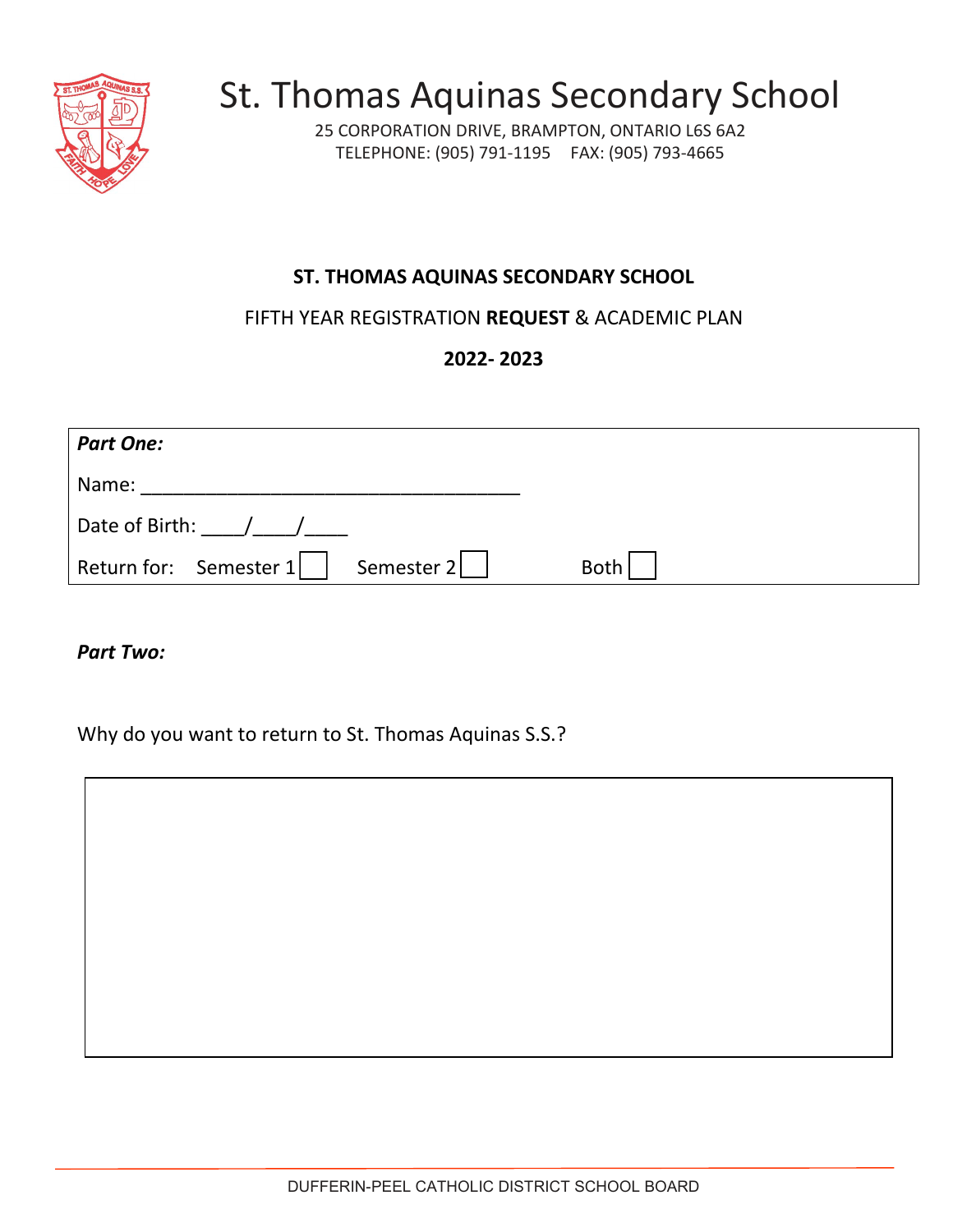

25 CORPORATION DRIVE, BRAMPTON, ONTARIO L6S 6A2 TELEPHONE: (905) 791-1195 FAX: (905) 793-4665

#### **ST. THOMAS AQUINAS SECONDARY SCHOOL**

FIFTH YEAR REGISTRATION **REQUEST** & ACADEMIC PLAN

**2022- 2023** 

| <b>Part One:</b>                                                   |             |
|--------------------------------------------------------------------|-------------|
| Name:                                                              |             |
| Date of Birth: /                                                   |             |
| Return for: $\,$ Semester 1 $\,$ $\,$ $\,$ $\,$ $\,$<br>Semester 2 | <b>Both</b> |

*Part Two:*

Why do you want to return to St. Thomas Aquinas S.S.?

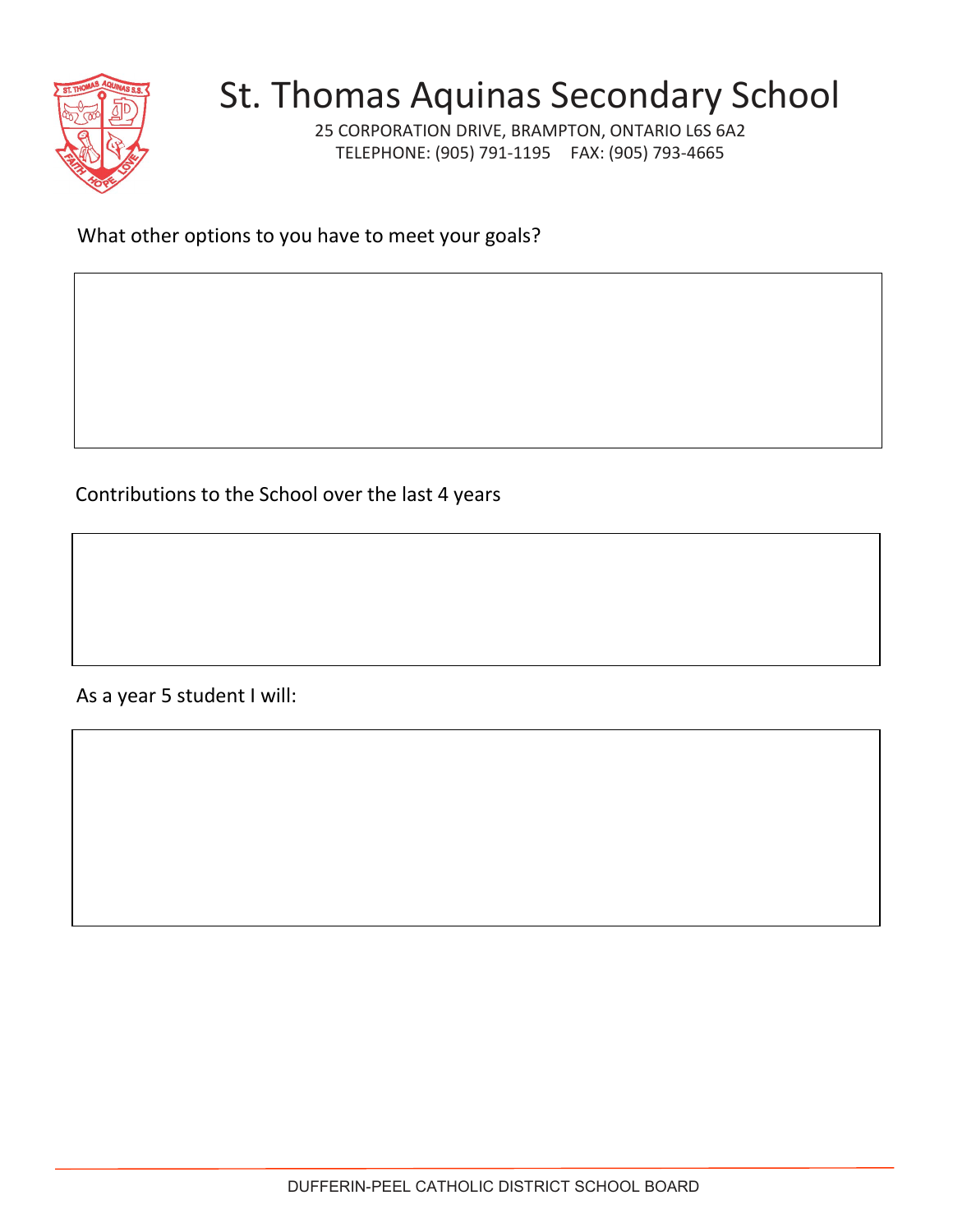

25 CORPORATION DRIVE, BRAMPTON, ONTARIO L6S 6A2 TELEPHONE: (905) 791-1195 FAX: (905) 793-4665

What other options to you have to meet your goals?

Contributions to the School over the last 4 years

As a year 5 student I will: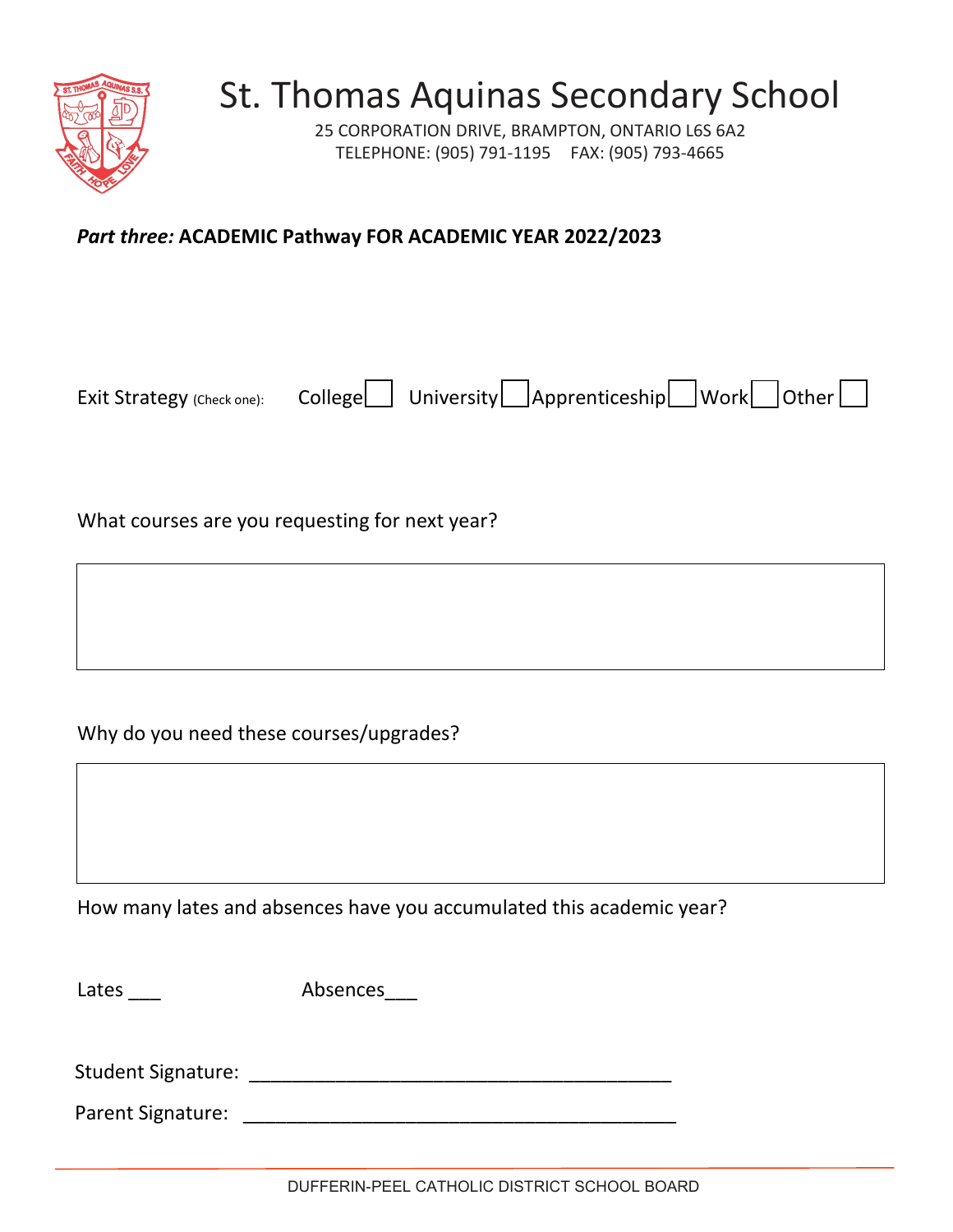

25 CORPORATION DRIVE, BRAMPTON, ONTARIO L6S 6A2 TELEPHONE: (905) 791-1195 FAX: (905) 793-4665

#### *Part three:* **ACADEMIC Pathway FOR ACADEMIC YEAR 2022/2023**

Exit Strategy (Check one): College University Apprenticeship Work Other

What courses are you requesting for next year?

Why do you need these courses/upgrades?

How many lates and absences have you accumulated this academic year?

Lates \_\_\_\_ Absences\_\_\_\_

Student Signature: \_\_\_\_\_\_\_\_\_\_\_\_\_\_\_\_\_\_\_\_\_\_\_\_\_\_\_\_\_\_\_\_\_\_\_\_\_\_\_

Parent Signature: **Example 2018**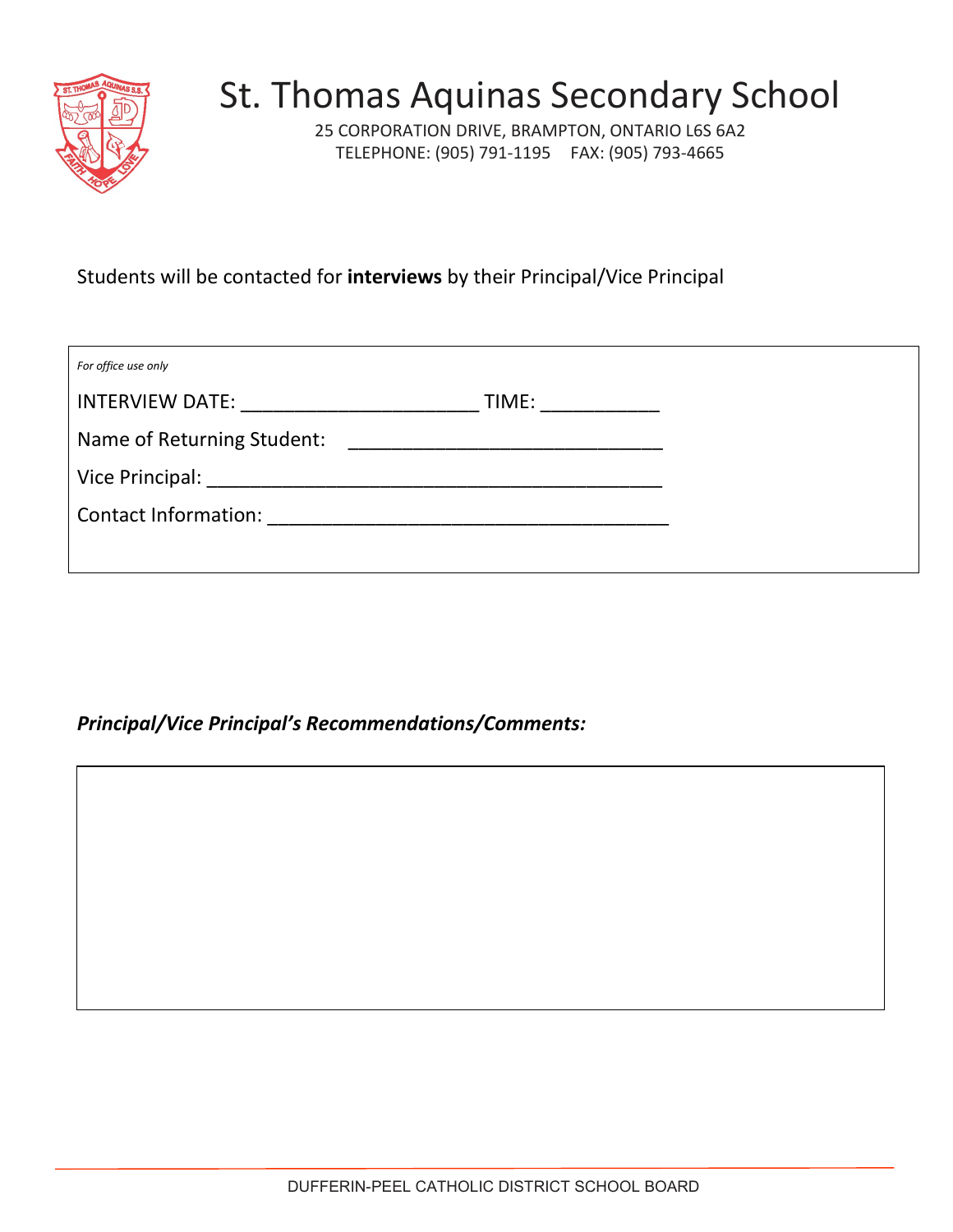

25 CORPORATION DRIVE, BRAMPTON, ONTARIO L6S 6A2 TELEPHONE: (905) 791-1195 FAX: (905) 793-4665

Students will be contacted for **interviews** by their Principal/Vice Principal

| For office use only        |                 |
|----------------------------|-----------------|
| <b>INTERVIEW DATE:</b>     | TIME: _________ |
| Name of Returning Student: |                 |
|                            |                 |
|                            |                 |
|                            |                 |

*Principal/Vice Principal's Recommendations/Comments:*